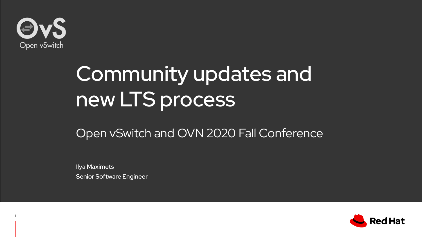

1

# Community updates and new LTS process

## Open vSwitch and OVN 2020 Fall Conference

Ilya Maximets Senior Software Engineer

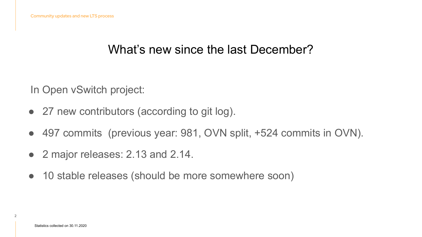## What's new since the last December?

In Open vSwitch project:

- 27 new contributors (according to git log).
- 497 commits (previous year: 981, OVN split, +524 commits in OVN).
- 2 major releases: 2.13 and 2.14.
- 10 stable releases (should be more somewhere soon)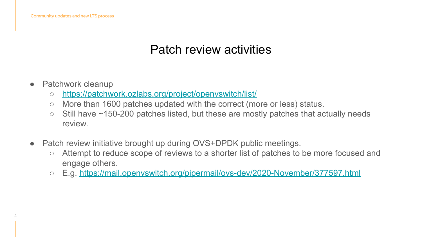## Patch review activities

- Patchwork cleanup
	- <https://patchwork.ozlabs.org/project/openvswitch/list/>
	- More than 1600 patches updated with the correct (more or less) status.
	- Still have ~150-200 patches listed, but these are mostly patches that actually needs review.
- Patch review initiative brought up during OVS+DPDK public meetings.
	- Attempt to reduce scope of reviews to a shorter list of patches to be more focused and engage others.
	- E.g. <https://mail.openvswitch.org/pipermail/ovs-dev/2020-November/377597.html>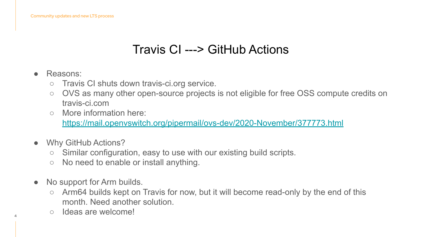# Travis CI ---> GitHub Actions

Reasons:

4

- Travis CI shuts down travis-ci.org service.
- OVS as many other open-source projects is not eligible for free OSS compute credits on travis-ci.com
- More information here:

<https://mail.openvswitch.org/pipermail/ovs-dev/2020-November/377773.html>

- Why GitHub Actions?
	- Similar configuration, easy to use with our existing build scripts.
	- No need to enable or install anything.
- No support for Arm builds.
	- Arm64 builds kept on Travis for now, but it will become read-only by the end of this month. Need another solution.
	- Ideas are welcome!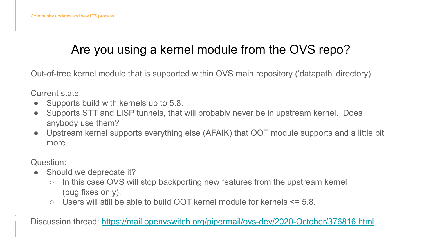# Are you using a kernel module from the OVS repo?

Out-of-tree kernel module that is supported within OVS main repository ('datapath' directory).

Current state:

- Supports build with kernels up to 5.8.
- Supports STT and LISP tunnels, that will probably never be in upstream kernel. Does anybody use them?
- Upstream kernel supports everything else (AFAIK) that OOT module supports and a little bit more.

Question:

5

- Should we deprecate it?
	- In this case OVS will stop backporting new features from the upstream kernel (bug fixes only).
	- $\circ$  Users will still be able to build OOT kernel module for kernels  $\leq$  5.8.

Discussion thread:<https://mail.openvswitch.org/pipermail/ovs-dev/2020-October/376816.html>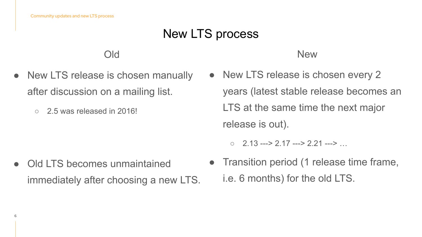# New LTS process

#### Old

- New LTS release is chosen manually after discussion on a mailing list.
	- $\circ$  2.5 was released in 2016!

#### New

- New LTS release is chosen every 2 years (latest stable release becomes an LTS at the same time the next major release is out).
	- $\circ$  2.13 ---> 2.17 ---> 2.21 --->

- Old LTS becomes unmaintained immediately after choosing a new LTS.
- Transition period (1 release time frame, i.e. 6 months) for the old LTS.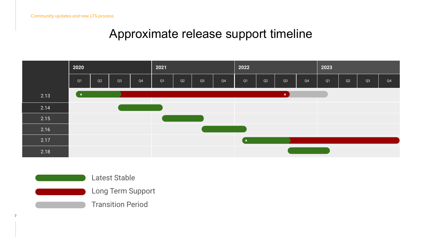Community updates and new LTS process

#### Approximate release support timeline





7